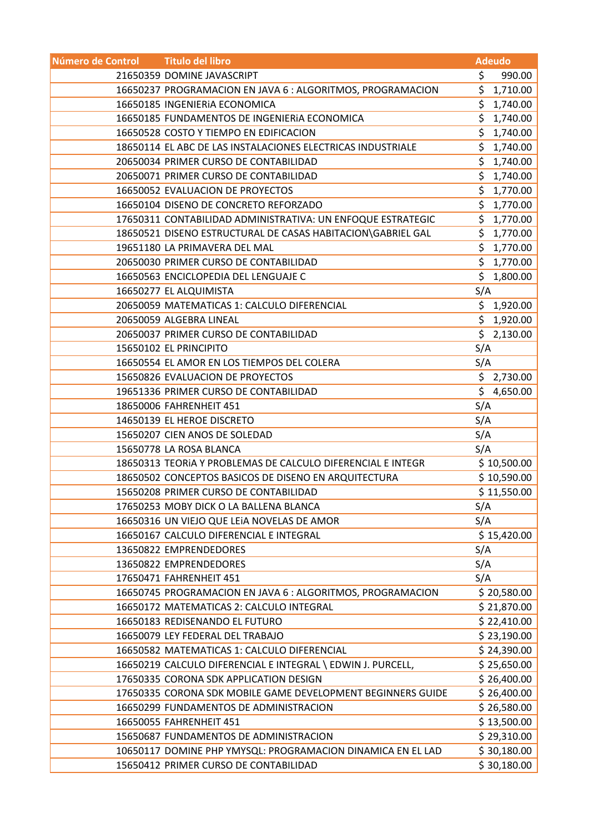| Número de Control | <b>Titulo del libro</b>                                     | <b>Adeudo</b> |             |
|-------------------|-------------------------------------------------------------|---------------|-------------|
|                   | 21650359 DOMINE JAVASCRIPT                                  | \$            | 990.00      |
|                   | 16650237 PROGRAMACION EN JAVA 6 : ALGORITMOS, PROGRAMACION  | \$            | 1,710.00    |
|                   | 16650185 INGENIERIA ECONOMICA                               | \$            | 1,740.00    |
|                   | 16650185 FUNDAMENTOS DE INGENIERIA ECONOMICA                | \$            | 1,740.00    |
|                   | 16650528 COSTO Y TIEMPO EN EDIFICACION                      |               | \$1,740.00  |
|                   | 18650114 EL ABC DE LAS INSTALACIONES ELECTRICAS INDUSTRIALE | \$            | 1,740.00    |
|                   | 20650034 PRIMER CURSO DE CONTABILIDAD                       | \$.           | 1,740.00    |
|                   | 20650071 PRIMER CURSO DE CONTABILIDAD                       | \$            | 1,740.00    |
|                   | 16650052 EVALUACION DE PROYECTOS                            |               | \$1,770.00  |
|                   | 16650104 DISENO DE CONCRETO REFORZADO                       |               | \$1,770.00  |
|                   | 17650311 CONTABILIDAD ADMINISTRATIVA: UN ENFOQUE ESTRATEGIC | \$            | 1,770.00    |
|                   | 18650521 DISENO ESTRUCTURAL DE CASAS HABITACION\GABRIEL GAL | \$            | 1,770.00    |
|                   | 19651180 LA PRIMAVERA DEL MAL                               | \$            | 1,770.00    |
|                   | 20650030 PRIMER CURSO DE CONTABILIDAD                       |               | \$1,770.00  |
|                   | 16650563 ENCICLOPEDIA DEL LENGUAJE C                        | \$            | 1,800.00    |
|                   | 16650277 EL ALQUIMISTA                                      | S/A           |             |
|                   | 20650059 MATEMATICAS 1: CALCULO DIFERENCIAL                 |               | \$1,920.00  |
|                   | 20650059 ALGEBRA LINEAL                                     |               | \$1,920.00  |
|                   | 20650037 PRIMER CURSO DE CONTABILIDAD                       |               | \$2,130.00  |
|                   | 15650102 EL PRINCIPITO                                      | S/A           |             |
|                   | 16650554 EL AMOR EN LOS TIEMPOS DEL COLERA                  | S/A           |             |
|                   | 15650826 EVALUACION DE PROYECTOS                            |               | \$2,730.00  |
|                   | 19651336 PRIMER CURSO DE CONTABILIDAD                       |               | \$4,650.00  |
|                   | 18650006 FAHRENHEIT 451                                     | S/A           |             |
|                   | 14650139 EL HEROE DISCRETO                                  | S/A           |             |
|                   | 15650207 CIEN ANOS DE SOLEDAD                               | S/A           |             |
|                   | 15650778 LA ROSA BLANCA                                     | S/A           |             |
|                   | 18650313 TEORIA Y PROBLEMAS DE CALCULO DIFERENCIAL E INTEGR |               | \$10,500.00 |
|                   | 18650502 CONCEPTOS BASICOS DE DISENO EN ARQUITECTURA        |               | \$10,590.00 |
|                   | 15650208 PRIMER CURSO DE CONTABILIDAD                       |               | \$11,550.00 |
|                   | 17650253 MOBY DICK O LA BALLENA BLANCA                      | S/A           |             |
|                   | 16650316 UN VIEJO QUE LEIA NOVELAS DE AMOR                  | S/A           |             |
|                   | 16650167 CALCULO DIFERENCIAL E INTEGRAL                     |               | \$15,420.00 |
|                   | 13650822 EMPRENDEDORES                                      | S/A           |             |
|                   | 13650822 EMPRENDEDORES                                      | S/A           |             |
|                   | 17650471 FAHRENHEIT 451                                     | S/A           |             |
|                   | 16650745 PROGRAMACION EN JAVA 6 : ALGORITMOS, PROGRAMACION  |               | \$20,580.00 |
|                   | 16650172 MATEMATICAS 2: CALCULO INTEGRAL                    |               | \$21,870.00 |
|                   | 16650183 REDISENANDO EL FUTURO                              |               | \$22,410.00 |
|                   | 16650079 LEY FEDERAL DEL TRABAJO                            |               | \$23,190.00 |
|                   | 16650582 MATEMATICAS 1: CALCULO DIFERENCIAL                 |               | \$24,390.00 |
|                   | 16650219 CALCULO DIFERENCIAL E INTEGRAL \ EDWIN J. PURCELL, |               | \$25,650.00 |
|                   | 17650335 CORONA SDK APPLICATION DESIGN                      |               | \$26,400.00 |
|                   | 17650335 CORONA SDK MOBILE GAME DEVELOPMENT BEGINNERS GUIDE |               | \$26,400.00 |
|                   | 16650299 FUNDAMENTOS DE ADMINISTRACION                      |               | \$26,580.00 |
|                   | 16650055 FAHRENHEIT 451                                     |               | \$13,500.00 |
|                   | 15650687 FUNDAMENTOS DE ADMINISTRACION                      |               | \$29,310.00 |
|                   | 10650117 DOMINE PHP YMYSQL: PROGRAMACION DINAMICA EN EL LAD |               | \$30,180.00 |
|                   | 15650412 PRIMER CURSO DE CONTABILIDAD                       |               | \$30,180.00 |